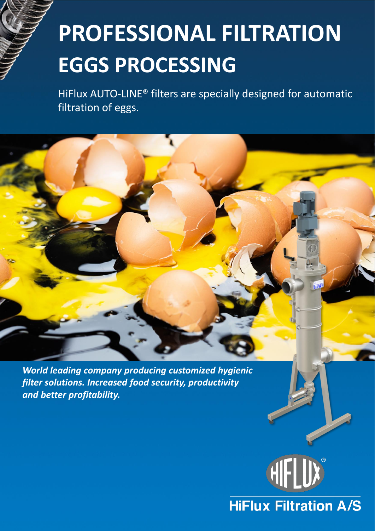# **PROFESSIONAL FILTRATION EGGS PROCESSING**

HiFlux AUTO-LINE® filters are specially designed for automatic filtration of eggs.

*World leading company producing customized hygienic filter solutions. Increased food security, productivity and better profitability.*